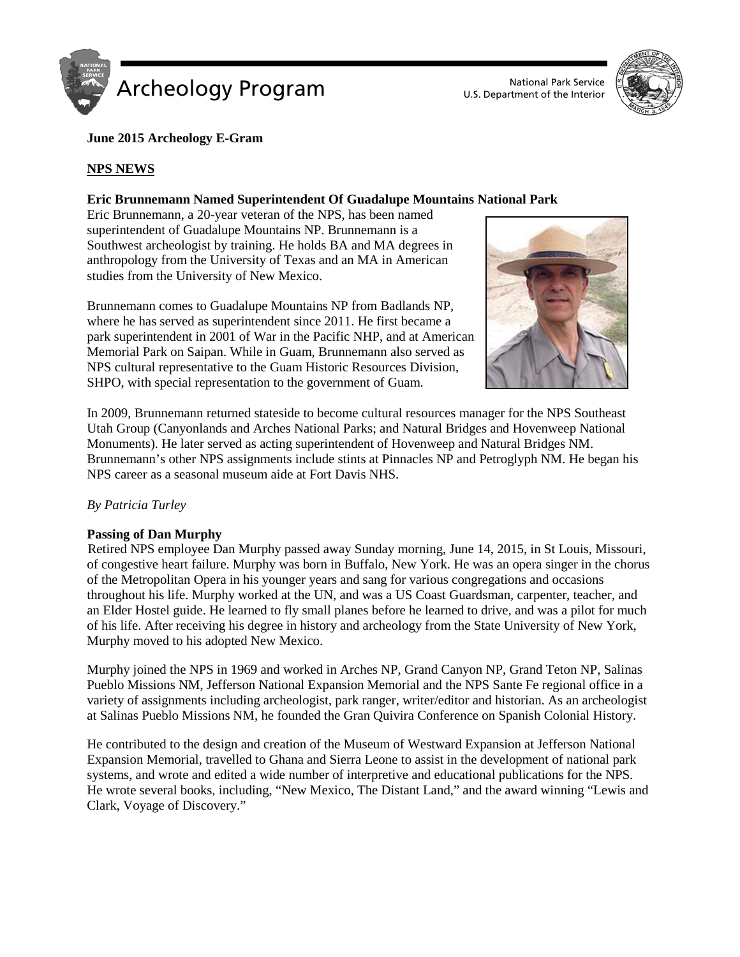



# **June 2015 Archeology E-Gram**

# **NPS NEWS**

# **Eric Brunnemann Named Superintendent Of Guadalupe Mountains National Park**

Eric Brunnemann, a 20-year veteran of the NPS, has been named superintendent of Guadalupe Mountains NP. Brunnemann is a Southwest archeologist by training. He holds BA and MA degrees in anthropology from the University of Texas and an MA in American studies from the University of New Mexico.

Brunnemann comes to Guadalupe Mountains NP from Badlands NP, where he has served as superintendent since 2011. He first became a park superintendent in 2001 of War in the Pacific NHP, and at American Memorial Park on Saipan. While in Guam, Brunnemann also served as NPS cultural representative to the Guam Historic Resources Division, SHPO, with special representation to the government of Guam.



In 2009, Brunnemann returned stateside to become cultural resources manager for the NPS Southeast Utah Group (Canyonlands and Arches National Parks; and Natural Bridges and Hovenweep National Monuments). He later served as acting superintendent of Hovenweep and Natural Bridges NM. Brunnemann's other NPS assignments include stints at Pinnacles NP and Petroglyph NM. He began his NPS career as a seasonal museum aide at Fort Davis NHS.

## *By Patricia Turley*

#### **Passing of Dan Murphy**

Retired NPS employee Dan Murphy passed away Sunday morning, June 14, 2015, in St Louis, Missouri, of congestive heart failure. Murphy was born in Buffalo, New York. He was an opera singer in the chorus of the Metropolitan Opera in his younger years and sang for various congregations and occasions throughout his life. Murphy worked at the UN, and was a US Coast Guardsman, carpenter, teacher, and an Elder Hostel guide. He learned to fly small planes before he learned to drive, and was a pilot for much of his life. After receiving his degree in history and archeology from the State University of New York, Murphy moved to his adopted New Mexico.

Murphy joined the NPS in 1969 and worked in Arches NP, Grand Canyon NP, Grand Teton NP, Salinas Pueblo Missions NM, Jefferson National Expansion Memorial and the NPS Sante Fe regional office in a variety of assignments including archeologist, park ranger, writer/editor and historian. As an archeologist at Salinas Pueblo Missions NM, he founded the Gran Quivira Conference on Spanish Colonial History.

He contributed to the design and creation of the Museum of Westward Expansion at Jefferson National Expansion Memorial, travelled to Ghana and Sierra Leone to assist in the development of national park systems, and wrote and edited a wide number of interpretive and educational publications for the NPS. He wrote several books, including, "New Mexico, The Distant Land," and the award winning "Lewis and Clark, Voyage of Discovery."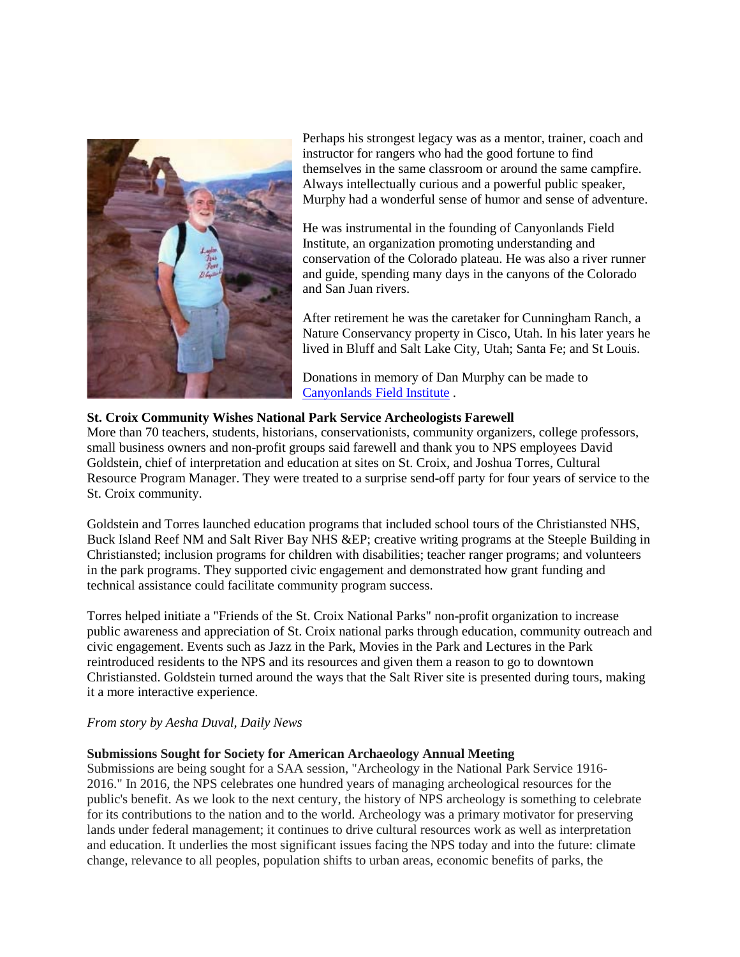

Perhaps his strongest legacy was as a mentor, trainer, coach and instructor for rangers who had the good fortune to find themselves in the same classroom or around the same campfire. Always intellectually curious and a powerful public speaker, Murphy had a wonderful sense of humor and sense of adventure.

He was instrumental in the founding of Canyonlands Field Institute, an organization promoting understanding and conservation of the Colorado plateau. He was also a river runner and guide, spending many days in the canyons of the Colorado and San Juan rivers.

After retirement he was the caretaker for Cunningham Ranch, a Nature Conservancy property in Cisco, Utah. In his later years he lived in Bluff and Salt Lake City, Utah; Santa Fe; and St Louis.

Donations in memory of Dan Murphy can be made to [Canyonlands Field Institute](http://cfimoab.org/utah-outdoor-education-adventures/donations-membership/) .

# **St. Croix Community Wishes National Park Service Archeologists Farewell**

More than 70 teachers, students, historians, conservationists, community organizers, college professors, small business owners and non-profit groups said farewell and thank you to NPS employees David Goldstein, chief of interpretation and education at sites on St. Croix, and Joshua Torres, Cultural Resource Program Manager. They were treated to a surprise send-off party for four years of service to the St. Croix community.

Goldstein and Torres launched education programs that included school tours of the Christiansted NHS, Buck Island Reef NM and Salt River Bay NHS &EP; creative writing programs at the Steeple Building in Christiansted; inclusion programs for children with disabilities; teacher ranger programs; and volunteers in the park programs. They supported civic engagement and demonstrated how grant funding and technical assistance could facilitate community program success.

Torres helped initiate a "Friends of the St. Croix National Parks" non-profit organization to increase public awareness and appreciation of St. Croix national parks through education, community outreach and civic engagement. Events such as Jazz in the Park, Movies in the Park and Lectures in the Park reintroduced residents to the NPS and its resources and given them a reason to go to downtown Christiansted. Goldstein turned around the ways that the Salt River site is presented during tours, making it a more interactive experience.

## *From story by Aesha Duval, Daily News*

## **Submissions Sought for Society for American Archaeology Annual Meeting**

Submissions are being sought for a SAA session, "Archeology in the National Park Service 1916- 2016." In 2016, the NPS celebrates one hundred years of managing archeological resources for the public's benefit. As we look to the next century, the history of NPS archeology is something to celebrate for its contributions to the nation and to the world. Archeology was a primary motivator for preserving lands under federal management; it continues to drive cultural resources work as well as interpretation and education. It underlies the most significant issues facing the NPS today and into the future: climate change, relevance to all peoples, population shifts to urban areas, economic benefits of parks, the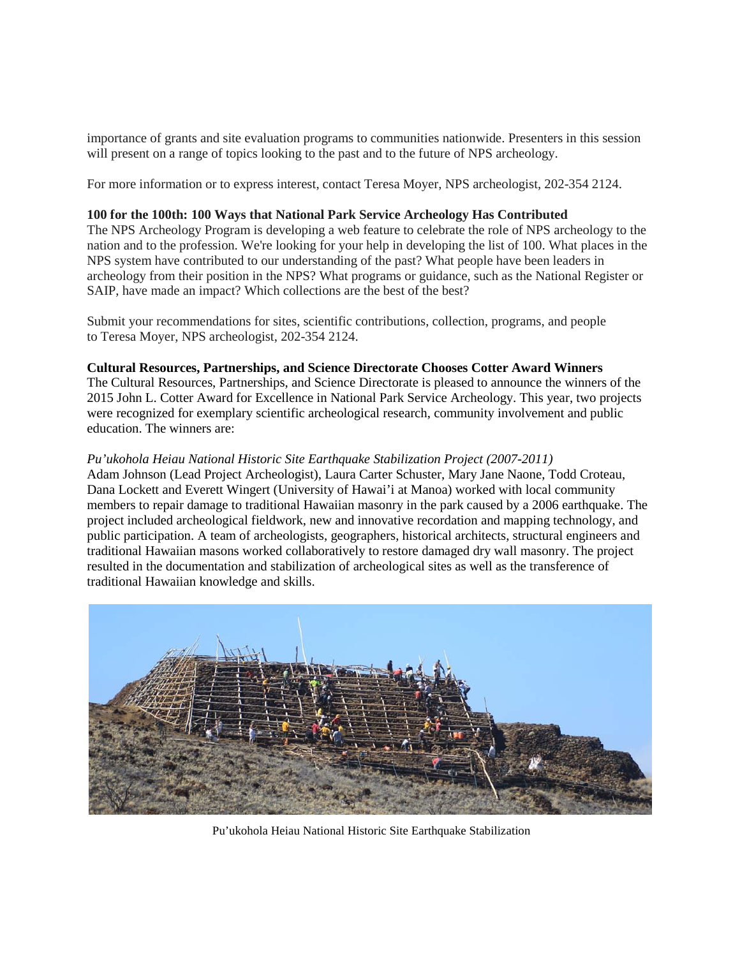importance of grants and site evaluation programs to communities nationwide. Presenters in this session will present on a range of topics looking to the past and to the future of NPS archeology.

For more information or to express interest, contact Teresa Moyer, NPS archeologist, 202-354 2124.

#### **100 for the 100th: 100 Ways that National Park Service Archeology Has Contributed**

The NPS Archeology Program is developing a web feature to celebrate the role of NPS archeology to the nation and to the profession. We're looking for your help in developing the list of 100. What places in the NPS system have contributed to our understanding of the past? What people have been leaders in archeology from their position in the NPS? What programs or guidance, such as the National Register or SAIP, have made an impact? Which collections are the best of the best?

Submit your recommendations for sites, scientific contributions, collection, programs, and people to Teresa Moyer, NPS archeologist, 202-354 2124.

#### **Cultural Resources, Partnerships, and Science Directorate Chooses Cotter Award Winners**

The Cultural Resources, Partnerships, and Science Directorate is pleased to announce the winners of the 2015 John L. Cotter Award for Excellence in National Park Service Archeology. This year, two projects were recognized for exemplary scientific archeological research, community involvement and public education. The winners are:

#### *Pu'ukohola Heiau National Historic Site Earthquake Stabilization Project (2007-2011)*

Adam Johnson (Lead Project Archeologist), Laura Carter Schuster, Mary Jane Naone, Todd Croteau, Dana Lockett and Everett Wingert (University of Hawai'i at Manoa) worked with local community members to repair damage to traditional Hawaiian masonry in the park caused by a 2006 earthquake. The project included archeological fieldwork, new and innovative recordation and mapping technology, and public participation. A team of archeologists, geographers, historical architects, structural engineers and traditional Hawaiian masons worked collaboratively to restore damaged dry wall masonry. The project resulted in the documentation and stabilization of archeological sites as well as the transference of traditional Hawaiian knowledge and skills.



Pu'ukohola Heiau National Historic Site Earthquake Stabilization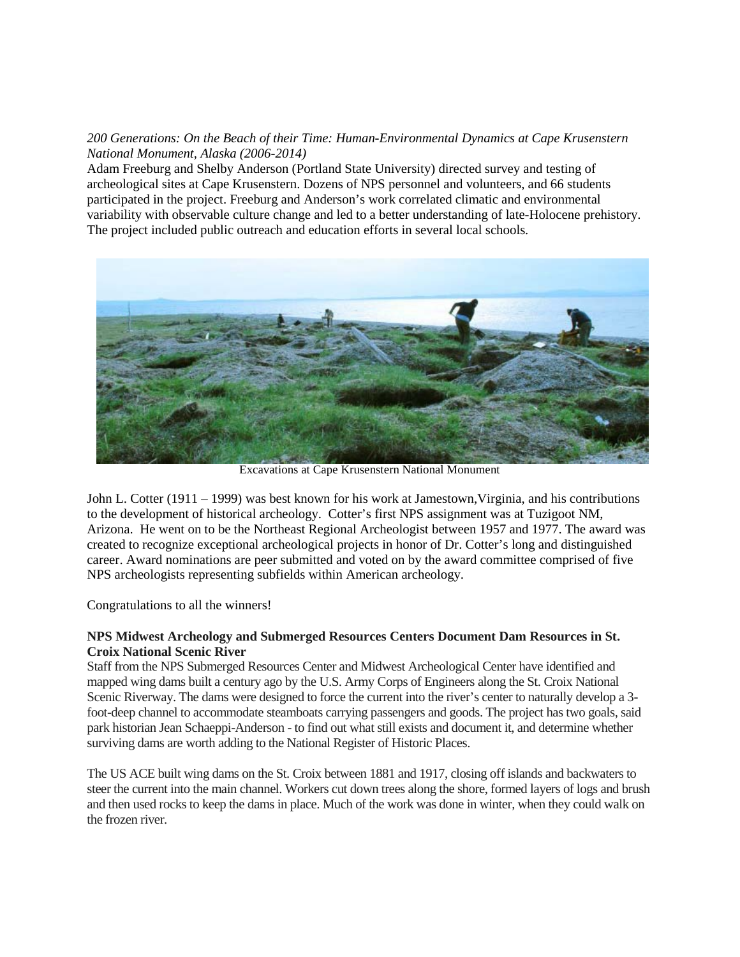# *200 Generations: On the Beach of their Time: Human-Environmental Dynamics at Cape Krusenstern National Monument, Alaska (2006-2014)*

Adam Freeburg and Shelby Anderson (Portland State University) directed survey and testing of archeological sites at Cape Krusenstern. Dozens of NPS personnel and volunteers, and 66 students participated in the project. Freeburg and Anderson's work correlated climatic and environmental variability with observable culture change and led to a better understanding of late-Holocene prehistory. The project included public outreach and education efforts in several local schools.



Excavations at Cape Krusenstern National Monument

John L. Cotter (1911 – 1999) was best known for his work at Jamestown,Virginia, and his contributions to the development of historical archeology. Cotter's first NPS assignment was at Tuzigoot NM, Arizona. He went on to be the Northeast Regional Archeologist between 1957 and 1977. The award was created to recognize exceptional archeological projects in honor of Dr. Cotter's long and distinguished career. Award nominations are peer submitted and voted on by the award committee comprised of five NPS archeologists representing subfields within American archeology.

Congratulations to all the winners!

# **NPS Midwest Archeology and Submerged Resources Centers Document Dam Resources in St. Croix National Scenic River**

Staff from the NPS Submerged Resources Center and Midwest Archeological Center have identified and mapped wing dams built a century ago by the U.S. Army Corps of Engineers along the St. Croix National Scenic Riverway. The dams were designed to force the current into the river's center to naturally develop a 3 foot-deep channel to accommodate steamboats carrying passengers and goods. The project has two goals, said park historian Jean Schaeppi-Anderson - to find out what still exists and document it, and determine whether surviving dams are worth adding to the National Register of Historic Places.

The US ACE built wing dams on the St. Croix between 1881 and 1917, closing off islands and backwaters to steer the current into the main channel. Workers cut down trees along the shore, formed layers of logs and brush and then used rocks to keep the dams in place. Much of the work was done in winter, when they could walk on the frozen river.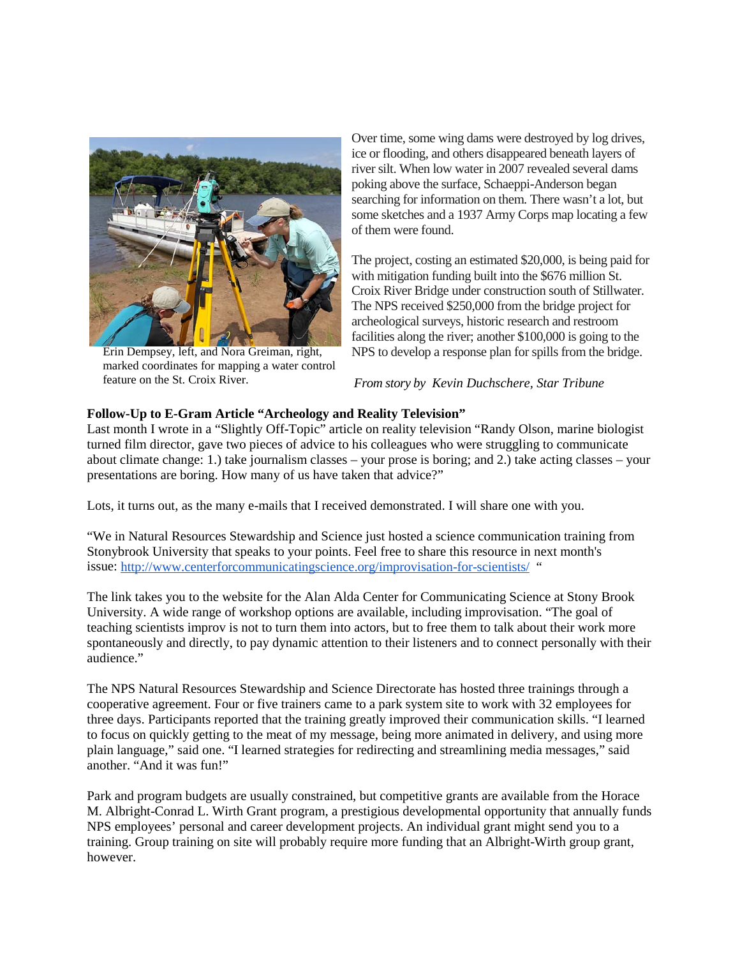

Erin Dempsey, left, and Nora Greiman, right, marked coordinates for mapping a water control feature on the St. Croix River.

Over time, some wing dams were destroyed by log drives, ice or flooding, and others disappeared beneath layers of river silt. When low water in 2007 revealed several dams poking above the surface, Schaeppi-Anderson began searching for information on them. There wasn't a lot, but some sketches and a 1937 Army Corps map locating a few of them were found.

The project, costing an estimated \$20,000, is being paid for with mitigation funding built into the \$676 million St. Croix River Bridge under construction south of Stillwater. The NPS received \$250,000 from the bridge project for archeological surveys, historic research and restroom facilities along the river; another \$100,000 is going to the NPS to develop a response plan for spills from the bridge.

*From story by Kevin Duchschere, Star Tribune*

# **Follow-Up to E-Gram Article " Archeology and Reality Television"**

Last month I wrote in a "Slightly Off-Topic" article on reality television "Randy Olson, marine biologist turned film director, gave two pieces of advice to his colleagues who were struggling to communicate about climate change: 1.) take journalism classes – your prose is boring; and 2.) take acting classes – your presentations are boring. How many of us have taken that advice?"

Lots, it turns out, as the many e-mails that I received demonstrated. I will share one with you.

"We in Natural Resources Stewardship and Science just hosted a science communication training from Stonybrook University that speaks to your points. Feel free to share this resource in next month's issue: <http://www.centerforcommunicatingscience.org/improvisation-for-scientists/> "

The link takes you to the website for the Alan Alda Center for Communicating Science at Stony Brook University. A wide range of workshop options are available, including improvisation. "The goal of teaching scientists improv is not to turn them into actors, but to free them to talk about their work more spontaneously and directly, to pay dynamic attention to their listeners and to connect personally with their audience."

The NPS Natural Resources Stewardship and Science Directorate has hosted three trainings through a cooperative agreement. Four or five trainers came to a park system site to work with 32 employees for three days. Participants reported that the training greatly improved their communication skills. "I learned to focus on quickly getting to the meat of my message, being more animated in delivery, and using more plain language," said one. "I learned strategies for redirecting and streamlining media messages," said another. "And it was fun!"

Park and program budgets are usually constrained, but competitive grants are available from the Horace M. Albright-Conrad L. Wirth Grant program, a prestigious developmental opportunity that annually funds NPS employees' personal and career development projects. An individual grant might send you to a training. Group training on site will probably require more funding that an Albright-Wirth group grant, however.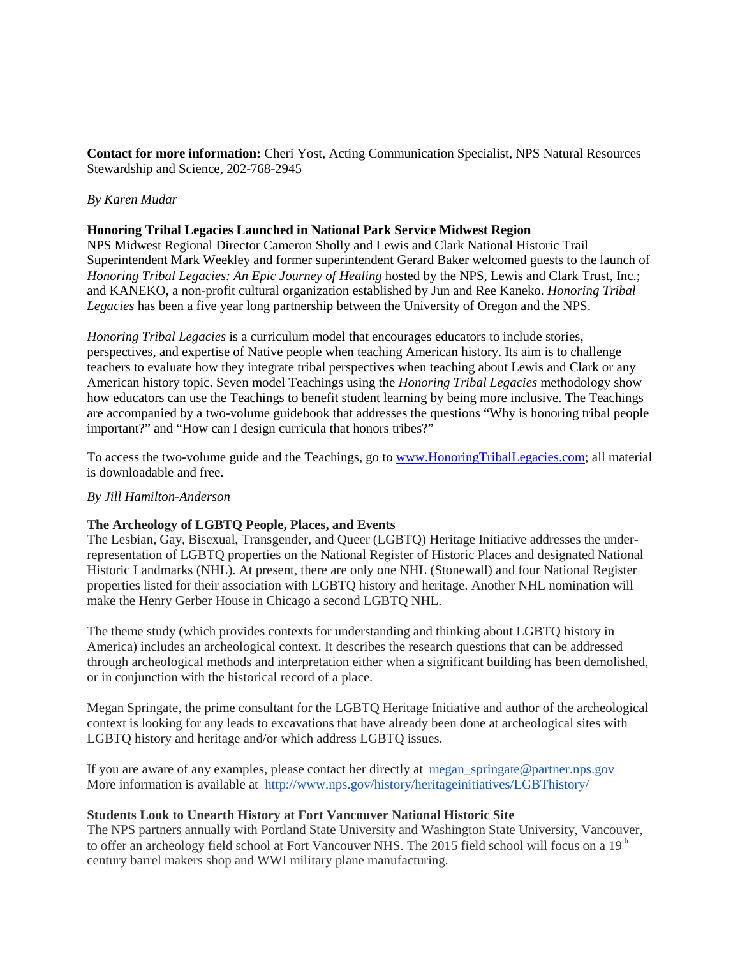**Contact for more information:** Cheri Yost, Acting Communication Specialist, NPS Natural Resources Stewardship and Science, 202-768-2945

## *By Karen Mudar*

#### **Honoring Tribal Legacies Launched in National Park Service Midwest Region**

NPS Midwest Regional Director Cameron Sholly and Lewis and Clark National Historic Trail Superintendent Mark Weekley and former superintendent Gerard Baker welcomed guests to the launch of *Honoring Tribal Legacies: An Epic Journey of Healing* hosted by the NPS, Lewis and Clark Trust, Inc.; and KANEKO, a non-profit cultural organization established by Jun and Ree Kaneko. *Honoring Tribal Legacies* has been a five year long partnership between the University of Oregon and the NPS.

*Honoring Tribal Legacies* is a curriculum model that encourages educators to include stories, perspectives, and expertise of Native people when teaching American history. Its aim is to challenge teachers to evaluate how they integrate tribal perspectives when teaching about Lewis and Clark or any American history topic. Seven model Teachings using the *Honoring Tribal Legacies* methodology show how educators can use the Teachings to benefit student learning by being more inclusive. The Teachings are accompanied by a two-volume guidebook that addresses the questions "Why is honoring tribal people important?" and "How can I design curricula that honors tribes?"

To access the two-volume guide and the Teachings, go t[o www.HonoringTribalLegacies.com;](http://www.honoringtriballegacies.com/) all material is downloadable and free.

#### *By Jill Hamilton-Anderson*

## **The Archeology of LGBTQ People, Places, and Events**

The Lesbian, Gay, Bisexual, Transgender, and Queer (LGBTQ) Heritage Initiative addresses the underrepresentation of LGBTQ properties on the National Register of Historic Places and designated National Historic Landmarks (NHL). At present, there are only one NHL (Stonewall) and four National Register properties listed for their association with LGBTQ history and heritage. Another NHL nomination will make the Henry Gerber House in Chicago a second LGBTQ NHL.

The theme study (which provides contexts for understanding and thinking about LGBTQ history in America) includes an archeological context. It describes the research questions that can be addressed through archeological methods and interpretation either when a significant building has been demolished, or in conjunction with the historical record of a place.

Megan Springate, the prime consultant for the LGBTQ Heritage Initiative and author of the archeological context is looking for any leads to excavations that have already been done at archeological sites with LGBTQ history and heritage and/or which address LGBTQ issues.

If you are aware of any examples, please contact her directly at [megan\\_springate@partner.nps.gov](mailto:megan_springate@partner.nps.gov) More information is available at <http://www.nps.gov/history/heritageinitiatives/LGBThistory/>

#### **Students Look to Unearth History at Fort Vancouver National Historic Site**

The NPS partners annually with Portland State University and Washington State University, Vancouver, to offer an archeology field school at Fort Vancouver NHS. The 2015 field school will focus on a 19<sup>th</sup> century barrel makers shop and WWI military plane manufacturing.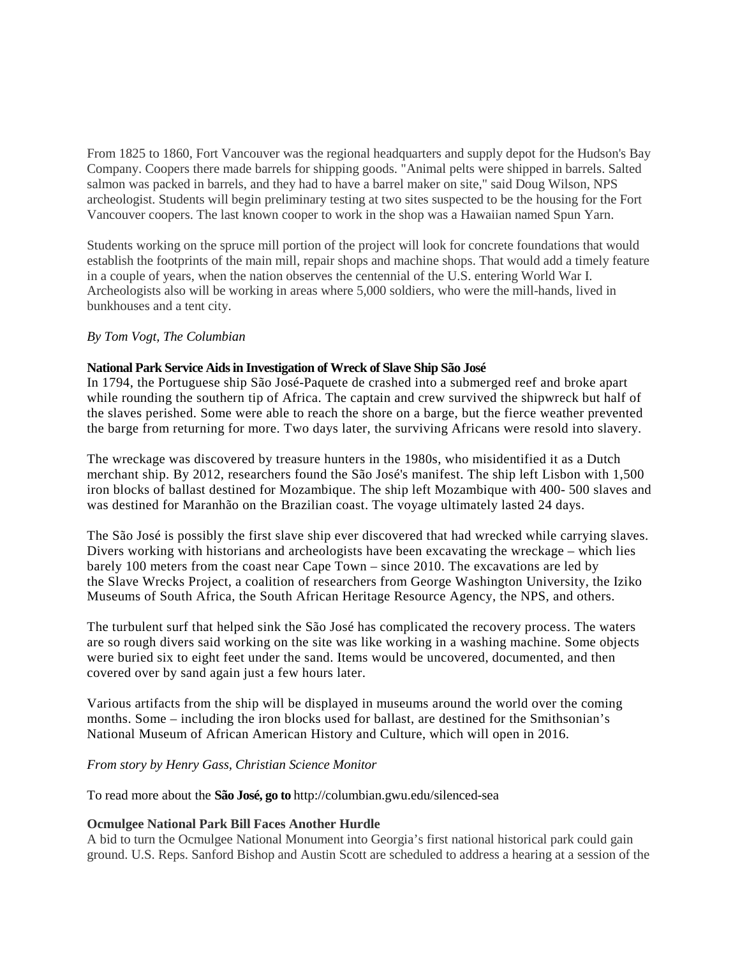From 1825 to 1860, Fort Vancouver was the regional headquarters and supply depot for the Hudson's Bay Company. Coopers there made barrels for shipping goods. "Animal pelts were shipped in barrels. Salted salmon was packed in barrels, and they had to have a barrel maker on site," said Doug Wilson, NPS archeologist. Students will begin preliminary testing at two sites suspected to be the housing for the Fort Vancouver coopers. The last known cooper to work in the shop was a Hawaiian named Spun Yarn.

Students working on the spruce mill portion of the project will look for concrete foundations that would establish the footprints of the main mill, repair shops and machine shops. That would add a timely feature in a couple of years, when the nation observes the centennial of the U.S. entering World War I. Archeologists also will be working in areas where 5,000 soldiers, who were the mill-hands, lived in bunkhouses and a tent city.

#### *By Tom Vogt, The Columbian*

#### **National Park Service Aids in Investigation of Wreck of Slave Ship São José**

In 1794, the Portuguese ship São José-Paquete de crashed into a submerged reef and broke apart while rounding the southern tip of Africa. The captain and crew survived the shipwreck but half of the slaves perished. Some were able to reach the shore on a barge, but the fierce weather prevented the barge from returning for more. Two days later, the surviving Africans were resold into slavery.

The wreckage was discovered by treasure hunters in the 1980s, who misidentified it as a Dutch merchant ship. By 2012, researchers found the São José's manifest. The ship left Lisbon with 1,500 iron blocks of ballast destined for Mozambique. The ship left Mozambique with 400- 500 slaves and was destined for Maranhão on the Brazilian coast. The voyage ultimately lasted 24 days.

The São José is possibly the first slave ship ever discovered that had wrecked while carrying slaves. Divers working with historians and archeologists have been excavating the wreckage – which lies barely 100 meters from the coast near Cape Town – since 2010. The excavations are led by the Slave Wrecks Project, a coalition of researchers from George Washington University, the Iziko Museums of South Africa, the South African Heritage Resource Agency, the NPS, and others.

The turbulent surf that helped sink the São José has complicated the recovery process. The waters are so rough divers said working on the site was like working in a washing machine. Some objects were buried six to eight feet under the sand. Items would be uncovered, documented, and then covered over by sand again just a few hours later.

Various artifacts from the ship will be displayed in museums around the world over the coming months. Some – including the iron blocks used for ballast, are destined for the Smithsonian's National Museum of African American History and Culture, which will open in 2016.

#### *From story by [Henry Gass,](http://www.csmonitor.com/USA/USA-Update/2015/0601/Wreck-of-slave-ship-Why-the-Sao-Jose-fascinates) Christian Science Monitor*

To read more about the **São José, go to** http://columbian.gwu.edu/silenced-sea

## **Ocmulgee National Park Bill Faces Another Hurdle**

A bid to turn the Ocmulgee National Monument into Georgia's first national historical park could gain ground. U.S. Reps. Sanford Bishop and Austin Scott are scheduled to address a hearing at a session of the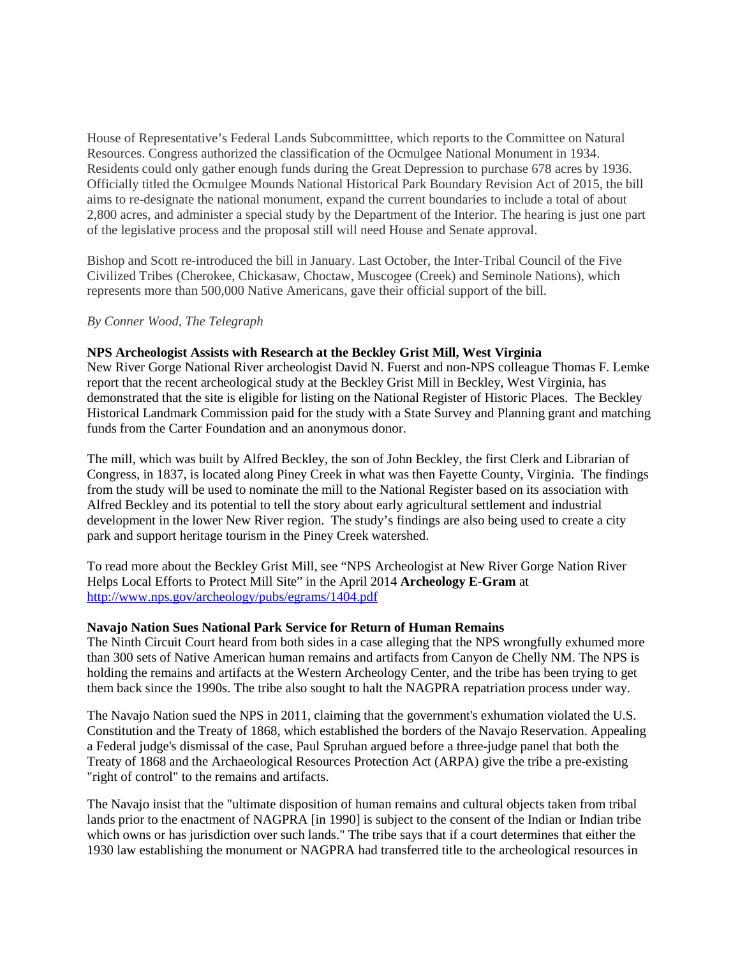House of Representative's Federal Lands Subcommitttee, which reports to the Committee on Natural Resources. Congress authorized the classification of the Ocmulgee National Monument in 1934. Residents could only gather enough funds during the Great Depression to purchase 678 acres by 1936. Officially titled the Ocmulgee Mounds National Historical Park Boundary Revision Act of 2015, the bill aims to re-designate the national monument, expand the current boundaries to include a total of about 2,800 acres, and administer a special study by the Department of the Interior. The hearing is just one part of the legislative process and the proposal still will need House and Senate approval.

Bishop and Scott re-introduced the bill in January. Last October, the Inter-Tribal Council of the Five Civilized Tribes (Cherokee, Chickasaw, Choctaw, Muscogee (Creek) and Seminole Nations), which represents more than 500,000 Native Americans, gave their official support of the bill.

#### *By Conner Wood, The Telegraph*

#### **NPS Archeologist Assists with Research at the Beckley Grist Mill, West Virginia**

New River Gorge National River archeologist David N. Fuerst and non-NPS colleague Thomas F. Lemke report that the recent archeological study at the Beckley Grist Mill in Beckley, West Virginia, has demonstrated that the site is eligible for listing on the National Register of Historic Places. The Beckley Historical Landmark Commission paid for the study with a State Survey and Planning grant and matching funds from the Carter Foundation and an anonymous donor.

The mill, which was built by Alfred Beckley, the son of John Beckley, the first Clerk and Librarian of Congress, in 1837, is located along Piney Creek in what was then Fayette County, Virginia. The findings from the study will be used to nominate the mill to the National Register based on its association with Alfred Beckley and its potential to tell the story about early agricultural settlement and industrial development in the lower New River region. The study's findings are also being used to create a city park and support heritage tourism in the Piney Creek watershed.

To read more about the Beckley Grist Mill, see "NPS Archeologist at New River Gorge Nation River Helps Local Efforts to Protect Mill Site" in the April 2014 **Archeology E-Gram** at <http://www.nps.gov/archeology/pubs/egrams/1404.pdf>

#### **Navajo Nation Sues National Park Service for Return of Human Remains**

The Ninth Circuit Court heard from both sides in a case alleging that the NPS wrongfully exhumed more than 300 sets of Native American human remains and artifacts from Canyon de Chelly NM. The NPS is holding the remains and artifacts at the Western Archeology Center, and the tribe has been trying to get them back since the 1990s. The tribe also sought to halt the NAGPRA repatriation process under way.

The Navajo Nation sued the NPS in 2011, claiming that the government's exhumation violated the U.S. Constitution and the Treaty of 1868, which established the borders of the Navajo Reservation. Appealing a Federal judge's dismissal of the case, Paul Spruhan argued before a three-judge panel that both the Treaty of 1868 and the Archaeological Resources Protection Act (ARPA) give the tribe a pre-existing "right of control" to the remains and artifacts.

The Navajo insist that the "ultimate disposition of human remains and cultural objects taken from tribal lands prior to the enactment of NAGPRA [in 1990] is subject to the consent of the Indian or Indian tribe which owns or has jurisdiction over such lands." The tribe says that if a court determines that either the 1930 law establishing the monument or NAGPRA had transferred title to the archeological resources in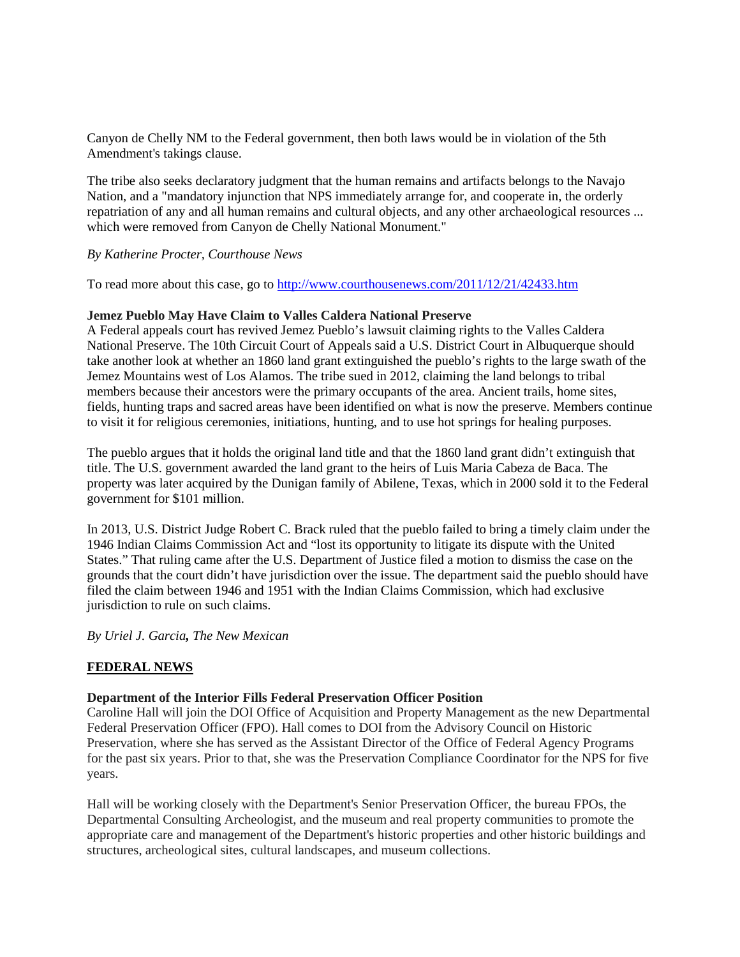Canyon de Chelly NM to the Federal government, then both laws would be in violation of the 5th Amendment's takings clause.

The tribe also seeks declaratory judgment that the human remains and artifacts belongs to the Navajo Nation, and a "mandatory injunction that NPS immediately arrange for, and cooperate in, the orderly repatriation of any and all human remains and cultural objects, and any other archaeological resources ... which were removed from Canyon de Chelly National Monument."

#### *By Katherine Procter, Courthouse News*

To read more about this case, go to<http://www.courthousenews.com/2011/12/21/42433.htm>

#### **Jemez Pueblo May Have Claim to Valles Caldera National Preserve**

A Federal appeals court has revived Jemez Pueblo's lawsuit claiming rights to the Valles Caldera National Preserve. The 10th Circuit Court of Appeals said a U.S. District Court in Albuquerque should take another look at whether an 1860 land grant extinguished the pueblo's rights to the large swath of the Jemez Mountains west of Los Alamos. The tribe sued in 2012, claiming the land belongs to tribal members because their ancestors were the primary occupants of the area. Ancient trails, home sites, fields, hunting traps and sacred areas have been identified on what is now the preserve. Members continue to visit it for religious ceremonies, initiations, hunting, and to use hot springs for healing purposes.

The pueblo argues that it holds the original land title and that the 1860 land grant didn't extinguish that title. The U.S. government awarded the land grant to the heirs of Luis Maria Cabeza de Baca. The property was later acquired by the Dunigan family of Abilene, Texas, which in 2000 sold it to the Federal government for \$101 million.

In 2013, U.S. District Judge Robert C. Brack ruled that the pueblo failed to bring a timely claim under the 1946 Indian Claims Commission Act and "lost its opportunity to litigate its dispute with the United States." That ruling came after the U.S. Department of Justice filed a motion to dismiss the case on the grounds that the court didn't have jurisdiction over the issue. The department said the pueblo should have filed the claim between 1946 and 1951 with the Indian Claims Commission, which had exclusive jurisdiction to rule on such claims.

*By Uriel J. Garcia, The New Mexican*

## **FEDERAL NEWS**

#### **Department of the Interior Fills Federal Preservation Officer Position**

Caroline Hall will join the DOI Office of Acquisition and Property Management as the new Departmental Federal Preservation Officer (FPO). Hall comes to DOI from the Advisory Council on Historic Preservation, where she has served as the Assistant Director of the Office of Federal Agency Programs for the past six years. Prior to that, she was the Preservation Compliance Coordinator for the NPS for five years.

Hall will be working closely with the Department's Senior Preservation Officer, the bureau FPOs, the Departmental Consulting Archeologist, and the museum and real property communities to promote the appropriate care and management of the Department's historic properties and other historic buildings and structures, archeological sites, cultural landscapes, and museum collections.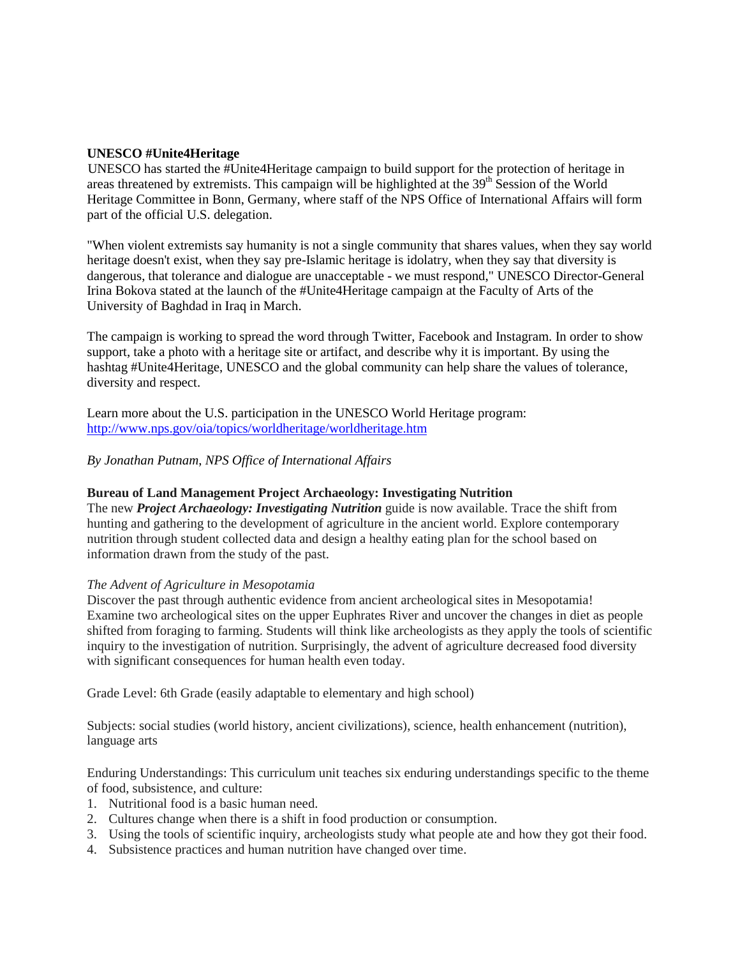## **UNESCO #Unite4Heritage**

UNESCO has started the #Unite4Heritage campaign to build support for the protection of heritage in areas threatened by extremists. This campaign will be highlighted at the 39<sup>th</sup> Session of the World Heritage Committee in Bonn, Germany, where staff of the NPS Office of International Affairs will form part of the official U.S. delegation.

"When violent extremists say humanity is not a single community that shares values, when they say world heritage doesn't exist, when they say pre-Islamic heritage is idolatry, when they say that diversity is dangerous, that tolerance and dialogue are unacceptable - we must respond," UNESCO Director-General Irina Bokova stated at the launch of the #Unite4Heritage campaign at the Faculty of Arts of the University of Baghdad in Iraq in March.

The campaign is working to spread the word through Twitter, Facebook and Instagram. In order to show support, take a photo with a heritage site or artifact, and describe why it is important. By using the hashtag #Unite4Heritage, UNESCO and the global community can help share the values of tolerance, diversity and respect.

Learn more about the U.S. participation in the UNESCO World Heritage program: <http://www.nps.gov/oia/topics/worldheritage/worldheritage.htm>

# *By Jonathan Putnam*, *NPS Office of International Affairs*

#### **Bureau of Land Management Project Archaeology: Investigating Nutrition**

The new *Project Archaeology: Investigating Nutrition* guide is now available. Trace the shift from hunting and gathering to the development of agriculture in the ancient world. Explore contemporary nutrition through student collected data and design a healthy eating plan for the school based on information drawn from the study of the past.

#### *The Advent of Agriculture in Mesopotamia*

Discover the past through authentic evidence from ancient archeological sites in Mesopotamia! Examine two archeological sites on the upper Euphrates River and uncover the changes in diet as people shifted from foraging to farming. Students will think like archeologists as they apply the tools of scientific inquiry to the investigation of nutrition. Surprisingly, the advent of agriculture decreased food diversity with significant consequences for human health even today.

Grade Level: 6th Grade (easily adaptable to elementary and high school)

Subjects: social studies (world history, ancient civilizations), science, health enhancement (nutrition), language arts

Enduring Understandings: This curriculum unit teaches six enduring understandings specific to the theme of food, subsistence, and culture:

- 1. Nutritional food is a basic human need.
- 2. Cultures change when there is a shift in food production or consumption.
- 3. Using the tools of scientific inquiry, archeologists study what people ate and how they got their food.
- 4. Subsistence practices and human nutrition have changed over time.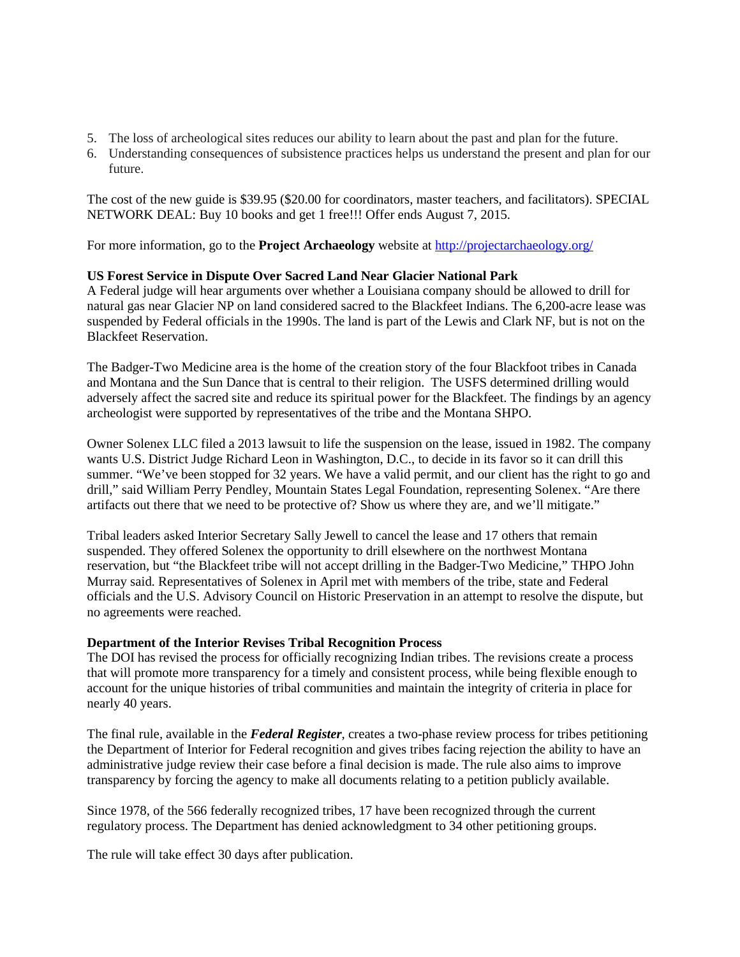- 5. The loss of archeological sites reduces our ability to learn about the past and plan for the future.
- 6. Understanding consequences of subsistence practices helps us understand the present and plan for our future.

The cost of the new guide is \$39.95 (\$20.00 for coordinators, master teachers, and facilitators). SPECIAL NETWORK DEAL: Buy 10 books and get 1 free!!! Offer ends August 7, 2015.

For more information, go to the **Project Archaeology** website at<http://projectarchaeology.org/>

# **US Forest Service in Dispute Over Sacred Land Near Glacier National Park**

A Federal judge will hear arguments over whether a Louisiana company should be allowed to drill for natural gas near Glacier NP on land considered sacred to the Blackfeet Indians. The 6,200-acre lease was suspended by Federal officials in the 1990s. The land is part of the Lewis and Clark NF, but is not on the Blackfeet Reservation.

The Badger-Two Medicine area is the home of the creation story of the four Blackfoot tribes in Canada and Montana and the Sun Dance that is central to their religion. The USFS determined drilling would adversely affect the sacred site and reduce its spiritual power for the Blackfeet. The findings by an agency archeologist were supported by representatives of the tribe and the Montana SHPO.

Owner Solenex LLC filed a 2013 lawsuit to life the suspension on the lease, issued in 1982. The company wants U.S. District Judge Richard Leon in Washington, D.C., to decide in its favor so it can drill this summer. "We've been stopped for 32 years. We have a valid permit, and our client has the right to go and drill," said William Perry Pendley, Mountain States Legal Foundation, representing Solenex. "Are there artifacts out there that we need to be protective of? Show us where they are, and we'll mitigate."

Tribal leaders asked Interior Secretary Sally Jewell to cancel the lease and 17 others that remain suspended. They offered Solenex the opportunity to drill elsewhere on the northwest Montana reservation, but "the Blackfeet tribe will not accept drilling in the Badger-Two Medicine," THPO John Murray said. Representatives of Solenex in April met with members of the tribe, state and Federal officials and the U.S. Advisory Council on Historic Preservation in an attempt to resolve the dispute, but no agreements were reached.

## **Department of the Interior Revises Tribal Recognition Process**

The DOI has revised the process for officially recognizing Indian tribes. The revisions create a process that will promote more transparency for a timely and consistent process, while being flexible enough to account for the unique histories of tribal communities and maintain the integrity of criteria in place for nearly 40 years.

The final rule, available in the *Federal Register*, creates a two-phase review process for tribes petitioning the Department of Interior for Federal recognition and gives tribes facing rejection the ability to have an administrative judge review their case before a final decision is made. The rule also aims to improve transparency by forcing the agency to make all documents relating to a petition publicly available.

Since 1978, of the 566 federally recognized tribes, 17 have been recognized through the current regulatory process. The Department has denied acknowledgment to 34 other petitioning groups.

The rule will take effect 30 days after publication.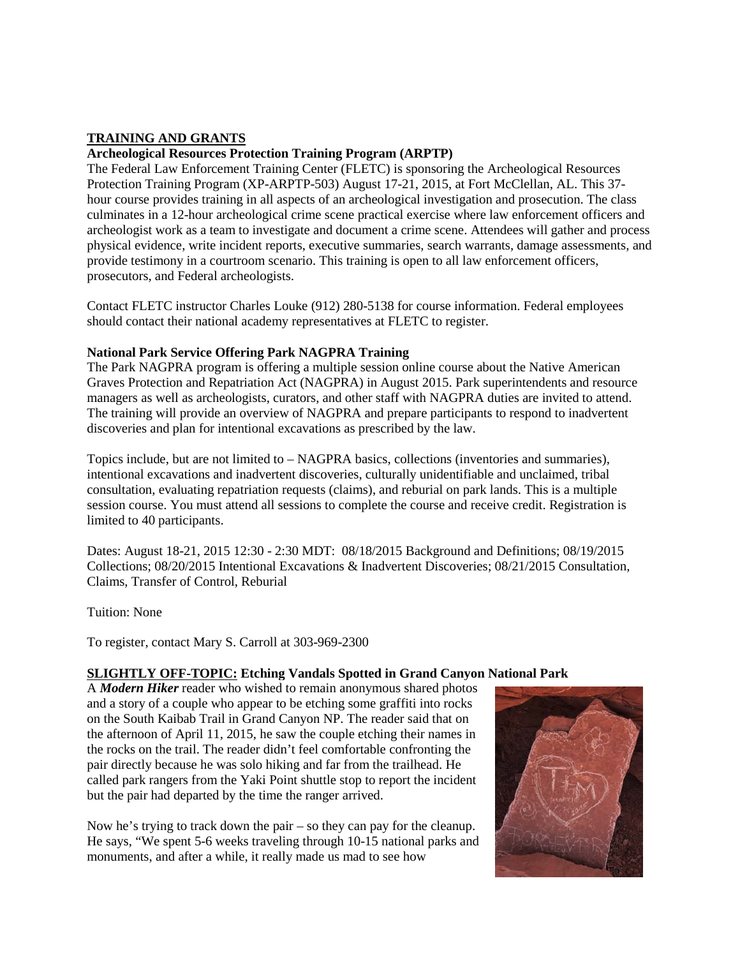# **TRAINING AND GRANTS**

## **Archeological Resources Protection Training Program (ARPTP)**

The Federal Law Enforcement Training Center (FLETC) is sponsoring the Archeological Resources Protection Training Program (XP-ARPTP-503) August 17-21, 2015, at Fort McClellan, AL. This 37 hour course provides training in all aspects of an archeological investigation and prosecution. The class culminates in a 12-hour archeological crime scene practical exercise where law enforcement officers and archeologist work as a team to investigate and document a crime scene. Attendees will gather and process physical evidence, write incident reports, executive summaries, search warrants, damage assessments, and provide testimony in a courtroom scenario. This training is open to all law enforcement officers, prosecutors, and Federal archeologists.

Contact FLETC instructor Charles Louke (912) 280-5138 for course information. Federal employees should contact their national academy representatives at FLETC to register.

#### **National Park Service Offering Park NAGPRA Training**

The Park NAGPRA program is offering a multiple session online course about the Native American Graves Protection and Repatriation Act (NAGPRA) in August 2015. Park superintendents and resource managers as well as archeologists, curators, and other staff with NAGPRA duties are invited to attend. The training will provide an overview of NAGPRA and prepare participants to respond to inadvertent discoveries and plan for intentional excavations as prescribed by the law.

Topics include, but are not limited to – NAGPRA basics, collections (inventories and summaries), intentional excavations and inadvertent discoveries, culturally unidentifiable and unclaimed, tribal consultation, evaluating repatriation requests (claims), and reburial on park lands. This is a multiple session course. You must attend all sessions to complete the course and receive credit. Registration is limited to 40 participants.

Dates: August 18-21, 2015 12:30 - 2:30 MDT: 08/18/2015 Background and Definitions; 08/19/2015 Collections; 08/20/2015 Intentional Excavations & Inadvertent Discoveries; 08/21/2015 Consultation, Claims, Transfer of Control, Reburial

Tuition: None

To register, contact Mary S. Carroll at 303-969-2300

## **SLIGHTLY OFF-TOPIC: Etching Vandals Spotted in Grand Canyon National Park**

A *Modern Hiker* reader who wished to remain anonymous shared photos and a story of a couple who appear to be etching some graffiti into rocks on the South Kaibab Trail in Grand Canyon NP. The reader said that on the afternoon of April 11, 2015, he saw the couple etching their names in the rocks on the trail. The reader didn't feel comfortable confronting the pair directly because he was solo hiking and far from the trailhead. He called park rangers from the Yaki Point shuttle stop to report the incident but the pair had departed by the time the ranger arrived.

Now he's trying to track down the pair – so they can pay for the cleanup. He says, "We spent 5-6 weeks traveling through 10-15 national parks and monuments, and after a while, it really made us mad to see how